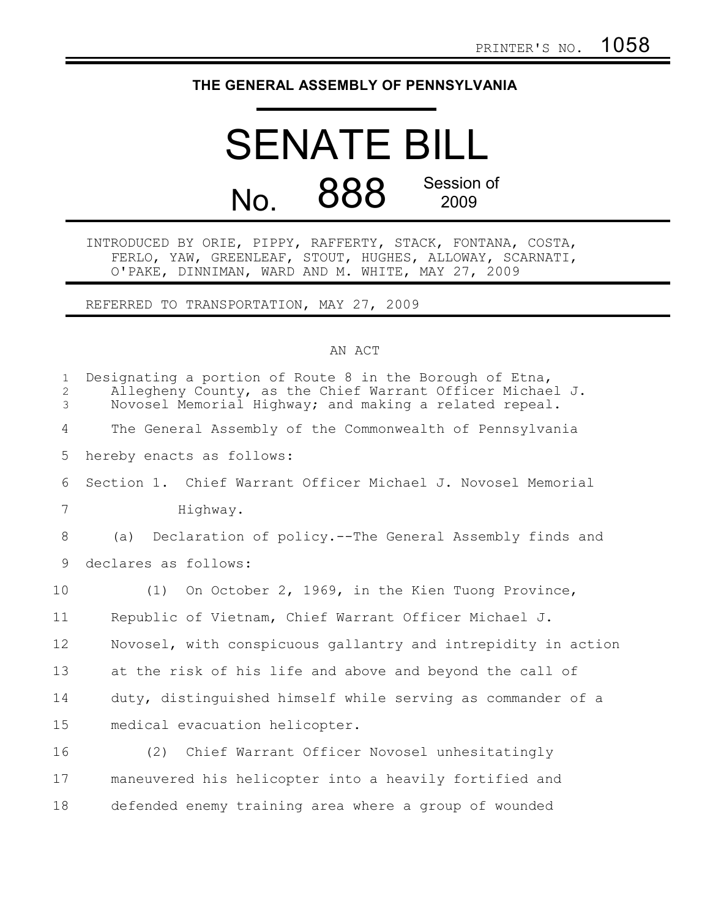## **THE GENERAL ASSEMBLY OF PENNSYLVANIA**

## SENATE BILL No. 888 Session of 2009

INTRODUCED BY ORIE, PIPPY, RAFFERTY, STACK, FONTANA, COSTA, FERLO, YAW, GREENLEAF, STOUT, HUGHES, ALLOWAY, SCARNATI, O'PAKE, DINNIMAN, WARD AND M. WHITE, MAY 27, 2009

REFERRED TO TRANSPORTATION, MAY 27, 2009

## AN ACT

| $\mathbf{1}$<br>2<br>3 | Designating a portion of Route 8 in the Borough of Etna,<br>Allegheny County, as the Chief Warrant Officer Michael J.<br>Novosel Memorial Highway; and making a related repeal. |
|------------------------|---------------------------------------------------------------------------------------------------------------------------------------------------------------------------------|
| 4                      | The General Assembly of the Commonwealth of Pennsylvania                                                                                                                        |
| 5                      | hereby enacts as follows:                                                                                                                                                       |
| 6                      | Section 1. Chief Warrant Officer Michael J. Novosel Memorial                                                                                                                    |
| 7                      | Highway.                                                                                                                                                                        |
| 8                      | Declaration of policy.--The General Assembly finds and<br>(a)                                                                                                                   |
| 9                      | declares as follows:                                                                                                                                                            |
| 10                     | (1) On October 2, 1969, in the Kien Tuong Province,                                                                                                                             |
| 11                     | Republic of Vietnam, Chief Warrant Officer Michael J.                                                                                                                           |
| 12                     | Novosel, with conspicuous gallantry and intrepidity in action                                                                                                                   |
| 13                     | at the risk of his life and above and beyond the call of                                                                                                                        |
| 14                     | duty, distinguished himself while serving as commander of a                                                                                                                     |
| 15                     | medical evacuation helicopter.                                                                                                                                                  |
| 16                     | (2) Chief Warrant Officer Novosel unhesitatingly                                                                                                                                |
| 17                     | maneuvered his helicopter into a heavily fortified and                                                                                                                          |
|                        |                                                                                                                                                                                 |

defended enemy training area where a group of wounded

18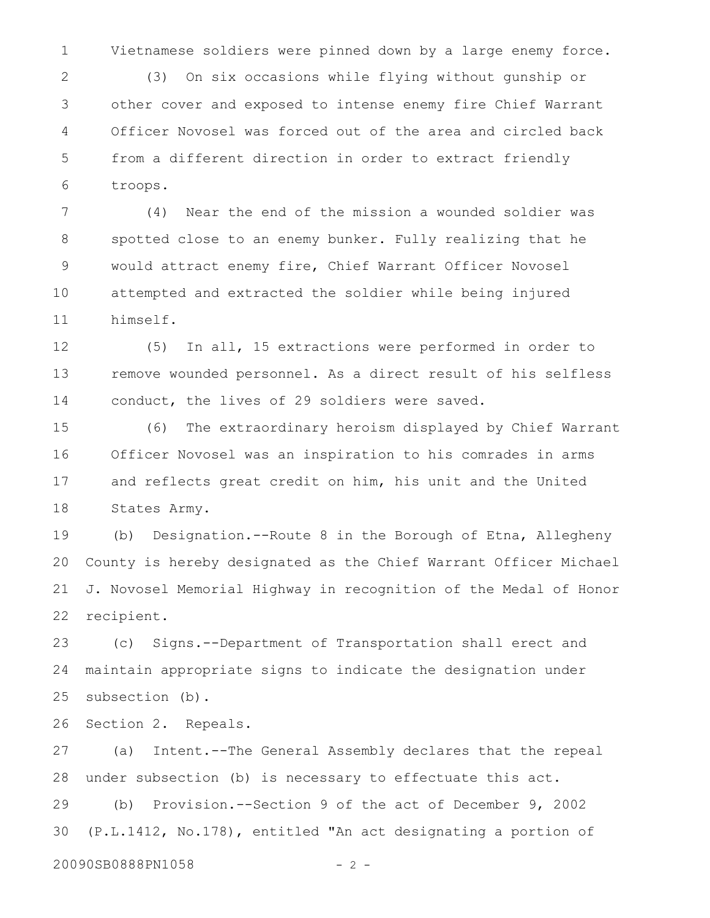Vietnamese soldiers were pinned down by a large enemy force. 1

(3) On six occasions while flying without gunship or other cover and exposed to intense enemy fire Chief Warrant Officer Novosel was forced out of the area and circled back from a different direction in order to extract friendly troops. 2 3 4 5 6

(4) Near the end of the mission a wounded soldier was spotted close to an enemy bunker. Fully realizing that he would attract enemy fire, Chief Warrant Officer Novosel attempted and extracted the soldier while being injured himself. 7 8 9 10 11

(5) In all, 15 extractions were performed in order to remove wounded personnel. As a direct result of his selfless conduct, the lives of 29 soldiers were saved. 12 13 14

(6) The extraordinary heroism displayed by Chief Warrant Officer Novosel was an inspiration to his comrades in arms and reflects great credit on him, his unit and the United States Army. 15 16 17 18

(b) Designation.--Route 8 in the Borough of Etna, Allegheny County is hereby designated as the Chief Warrant Officer Michael J. Novosel Memorial Highway in recognition of the Medal of Honor recipient. 19 20 21 22

(c) Signs.--Department of Transportation shall erect and maintain appropriate signs to indicate the designation under subsection (b). 23 24 25

Section 2. Repeals. 26

(a) Intent.--The General Assembly declares that the repeal under subsection (b) is necessary to effectuate this act. 27 28

(b) Provision.--Section 9 of the act of December 9, 2002 (P.L.1412, No.178), entitled "An act designating a portion of 29 30

```
20090SB0888PN1058 - 2 -
```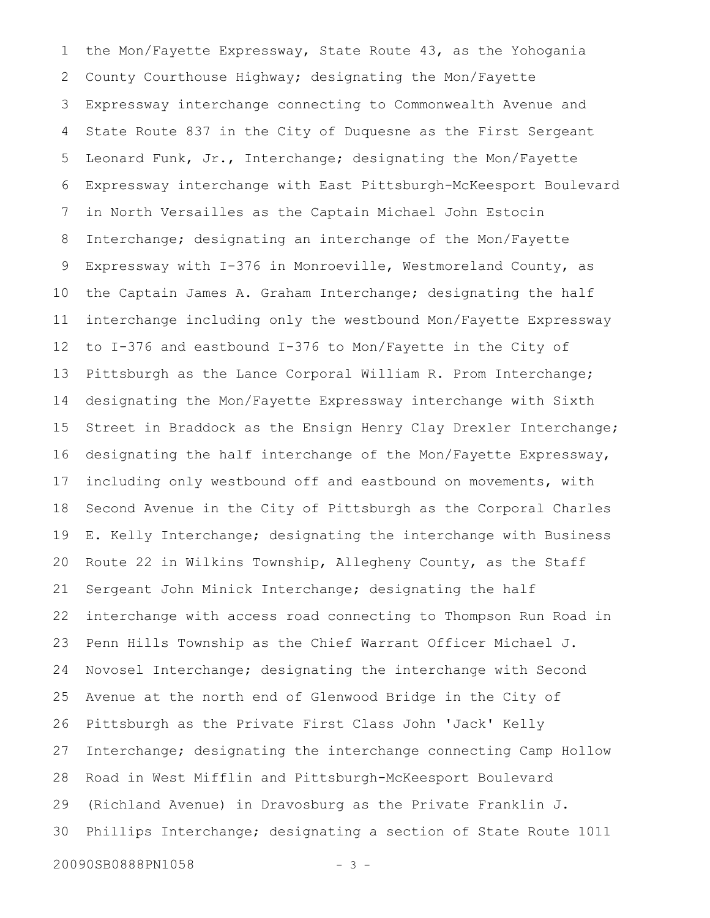the Mon/Fayette Expressway, State Route 43, as the Yohogania County Courthouse Highway; designating the Mon/Fayette Expressway interchange connecting to Commonwealth Avenue and State Route 837 in the City of Duquesne as the First Sergeant Leonard Funk, Jr., Interchange; designating the Mon/Fayette Expressway interchange with East Pittsburgh-McKeesport Boulevard in North Versailles as the Captain Michael John Estocin Interchange; designating an interchange of the Mon/Fayette Expressway with I-376 in Monroeville, Westmoreland County, as the Captain James A. Graham Interchange; designating the half interchange including only the westbound Mon/Fayette Expressway to I-376 and eastbound I-376 to Mon/Fayette in the City of Pittsburgh as the Lance Corporal William R. Prom Interchange; designating the Mon/Fayette Expressway interchange with Sixth Street in Braddock as the Ensign Henry Clay Drexler Interchange; designating the half interchange of the Mon/Fayette Expressway, including only westbound off and eastbound on movements, with Second Avenue in the City of Pittsburgh as the Corporal Charles E. Kelly Interchange; designating the interchange with Business Route 22 in Wilkins Township, Allegheny County, as the Staff Sergeant John Minick Interchange; designating the half interchange with access road connecting to Thompson Run Road in Penn Hills Township as the Chief Warrant Officer Michael J. Novosel Interchange; designating the interchange with Second Avenue at the north end of Glenwood Bridge in the City of Pittsburgh as the Private First Class John 'Jack' Kelly Interchange; designating the interchange connecting Camp Hollow Road in West Mifflin and Pittsburgh-McKeesport Boulevard (Richland Avenue) in Dravosburg as the Private Franklin J. Phillips Interchange; designating a section of State Route 1011 1 2 3 4 5 6 7 8 9 10 11 12 13 14 15 16 17 18 19 20 21 22 23 24 25 26 27 28 29 30

20090SB0888PN1058 - 3 -